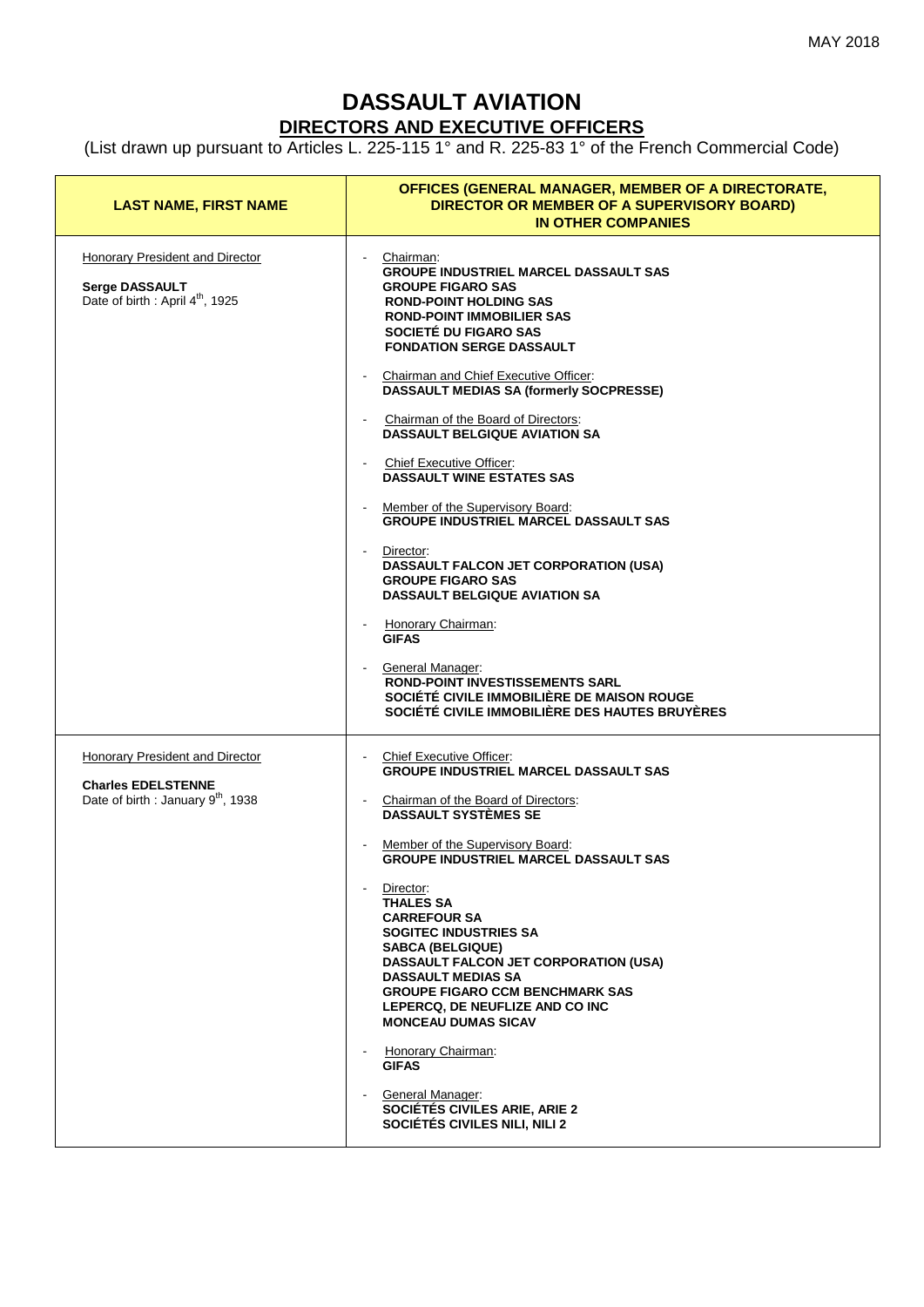## **DASSAULT AVIATION DIRECTORS AND EXECUTIVE OFFICERS**

(List drawn up pursuant to Articles L. 225-115 1° and R. 225-83 1° of the French Commercial Code)

| <b>LAST NAME, FIRST NAME</b>                                                                                   | OFFICES (GENERAL MANAGER, MEMBER OF A DIRECTORATE,<br>DIRECTOR OR MEMBER OF A SUPERVISORY BOARD)<br><b>IN OTHER COMPANIES</b>                                                                                                                                                                                                                                                                                                                                                                                                                                                                                                                                                                                                                                                                                                                                                                                                   |
|----------------------------------------------------------------------------------------------------------------|---------------------------------------------------------------------------------------------------------------------------------------------------------------------------------------------------------------------------------------------------------------------------------------------------------------------------------------------------------------------------------------------------------------------------------------------------------------------------------------------------------------------------------------------------------------------------------------------------------------------------------------------------------------------------------------------------------------------------------------------------------------------------------------------------------------------------------------------------------------------------------------------------------------------------------|
| Honorary President and Director<br><b>Serge DASSAULT</b><br>Date of birth : April 4 <sup>th</sup> , 1925       | Chairman:<br>$\blacksquare$<br><b>GROUPE INDUSTRIEL MARCEL DASSAULT SAS</b><br><b>GROUPE FIGARO SAS</b><br><b>ROND-POINT HOLDING SAS</b><br><b>ROND-POINT IMMOBILIER SAS</b><br>SOCIETÉ DU FIGARO SAS<br><b>FONDATION SERGE DASSAULT</b><br>Chairman and Chief Executive Officer:<br><b>DASSAULT MEDIAS SA (formerly SOCPRESSE)</b><br>Chairman of the Board of Directors:<br><b>DASSAULT BELGIQUE AVIATION SA</b><br>- Chief Executive Officer:<br><b>DASSAULT WINE ESTATES SAS</b><br>Member of the Supervisory Board:<br><b>GROUPE INDUSTRIEL MARCEL DASSAULT SAS</b><br>Director:<br>$\blacksquare$<br>DASSAULT FALCON JET CORPORATION (USA)<br><b>GROUPE FIGARO SAS</b><br><b>DASSAULT BELGIQUE AVIATION SA</b><br>Honorary Chairman:<br><b>GIFAS</b><br><b>General Manager:</b><br><b>ROND-POINT INVESTISSEMENTS SARL</b><br>SOCIÉTÉ CIVILE IMMOBILIÈRE DE MAISON ROUGE<br>SOCIÉTÉ CIVILE IMMOBILIÈRE DES HAUTES BRUYÈRES |
| Honorary President and Director<br><b>Charles EDELSTENNE</b><br>Date of birth : January 9 <sup>th</sup> , 1938 | <b>Chief Executive Officer:</b><br>$\sim 100$<br><b>GROUPE INDUSTRIEL MARCEL DASSAULT SAS</b><br>Chairman of the Board of Directors:<br>$\blacksquare$<br><b>DASSAULT SYSTÈMES SE</b><br>Member of the Supervisory Board:<br><b>GROUPE INDUSTRIEL MARCEL DASSAULT SAS</b><br>Director:<br><b>THALES SA</b><br><b>CARREFOUR SA</b><br>SOGITEC INDUSTRIES SA<br><b>SABCA (BELGIQUE)</b><br><b>DASSAULT FALCON JET CORPORATION (USA)</b><br><b>DASSAULT MEDIAS SA</b><br><b>GROUPE FIGARO CCM BENCHMARK SAS</b><br>LEPERCQ, DE NEUFLIZE AND CO INC<br><b>MONCEAU DUMAS SICAV</b><br>Honorary Chairman:<br><b>GIFAS</b><br>General Manager:<br>SOCIÉTÉS CIVILES ARIE, ARIE 2<br>SOCIÉTÉS CIVILES NILI, NILI 2                                                                                                                                                                                                                       |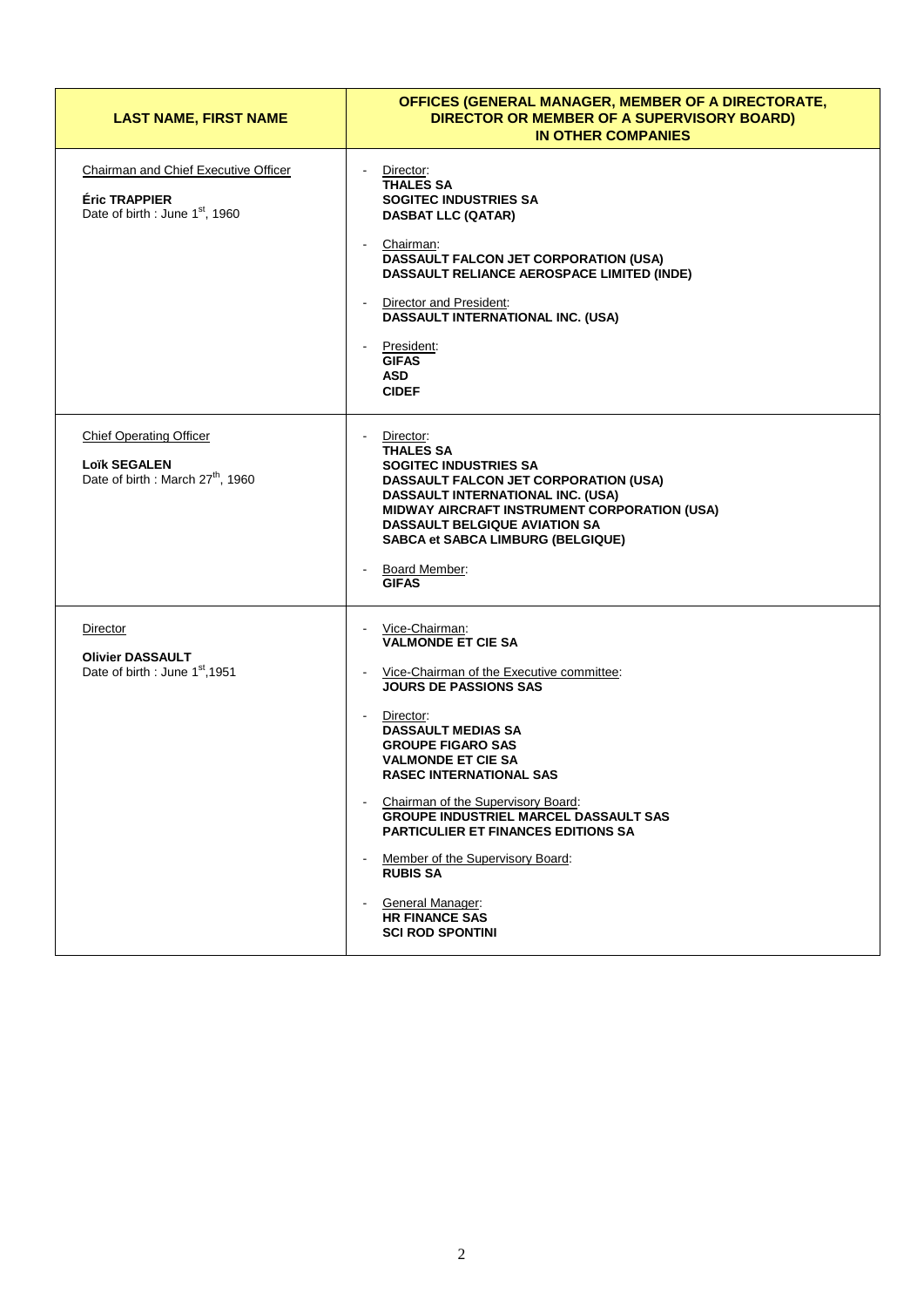| <b>LAST NAME, FIRST NAME</b>                                                                                | OFFICES (GENERAL MANAGER, MEMBER OF A DIRECTORATE,<br>DIRECTOR OR MEMBER OF A SUPERVISORY BOARD)<br><b>IN OTHER COMPANIES</b>                                                                                                                                                                                                                                                                                                                                                                                                    |
|-------------------------------------------------------------------------------------------------------------|----------------------------------------------------------------------------------------------------------------------------------------------------------------------------------------------------------------------------------------------------------------------------------------------------------------------------------------------------------------------------------------------------------------------------------------------------------------------------------------------------------------------------------|
| Chairman and Chief Executive Officer<br><b>Éric TRAPPIER</b><br>Date of birth : June 1 <sup>st</sup> , 1960 | Director:<br><b>THALES SA</b><br><b>SOGITEC INDUSTRIES SA</b><br><b>DASBAT LLC (QATAR)</b><br>Chairman:<br>DASSAULT FALCON JET CORPORATION (USA)<br>DASSAULT RELIANCE AEROSPACE LIMITED (INDE)<br>Director and President:<br>DASSAULT INTERNATIONAL INC. (USA)<br>President:<br><b>GIFAS</b><br><b>ASD</b><br><b>CIDEF</b>                                                                                                                                                                                                       |
| <b>Chief Operating Officer</b><br><b>Loïk SEGALEN</b><br>Date of birth : March 27 <sup>th</sup> , 1960      | Director:<br><b>THALES SA</b><br><b>SOGITEC INDUSTRIES SA</b><br><b>DASSAULT FALCON JET CORPORATION (USA)</b><br>DASSAULT INTERNATIONAL INC. (USA)<br>MIDWAY AIRCRAFT INSTRUMENT CORPORATION (USA)<br><b>DASSAULT BELGIQUE AVIATION SA</b><br><b>SABCA et SABCA LIMBURG (BELGIQUE)</b><br>Board Member:<br><b>GIFAS</b>                                                                                                                                                                                                          |
| Director<br><b>Olivier DASSAULT</b><br>Date of birth : June 1 <sup>st</sup> , 1951                          | Vice-Chairman:<br><b>VALMONDE ET CIE SA</b><br>Vice-Chairman of the Executive committee:<br><b>JOURS DE PASSIONS SAS</b><br>Director:<br><b>DASSAULT MEDIAS SA</b><br><b>GROUPE FIGARO SAS</b><br><b>VALMONDE ET CIE SA</b><br><b>RASEC INTERNATIONAL SAS</b><br>Chairman of the Supervisory Board:<br><b>GROUPE INDUSTRIEL MARCEL DASSAULT SAS</b><br><b>PARTICULIER ET FINANCES EDITIONS SA</b><br>Member of the Supervisory Board:<br><b>RUBIS SA</b><br>General Manager:<br><b>HR FINANCE SAS</b><br><b>SCI ROD SPONTINI</b> |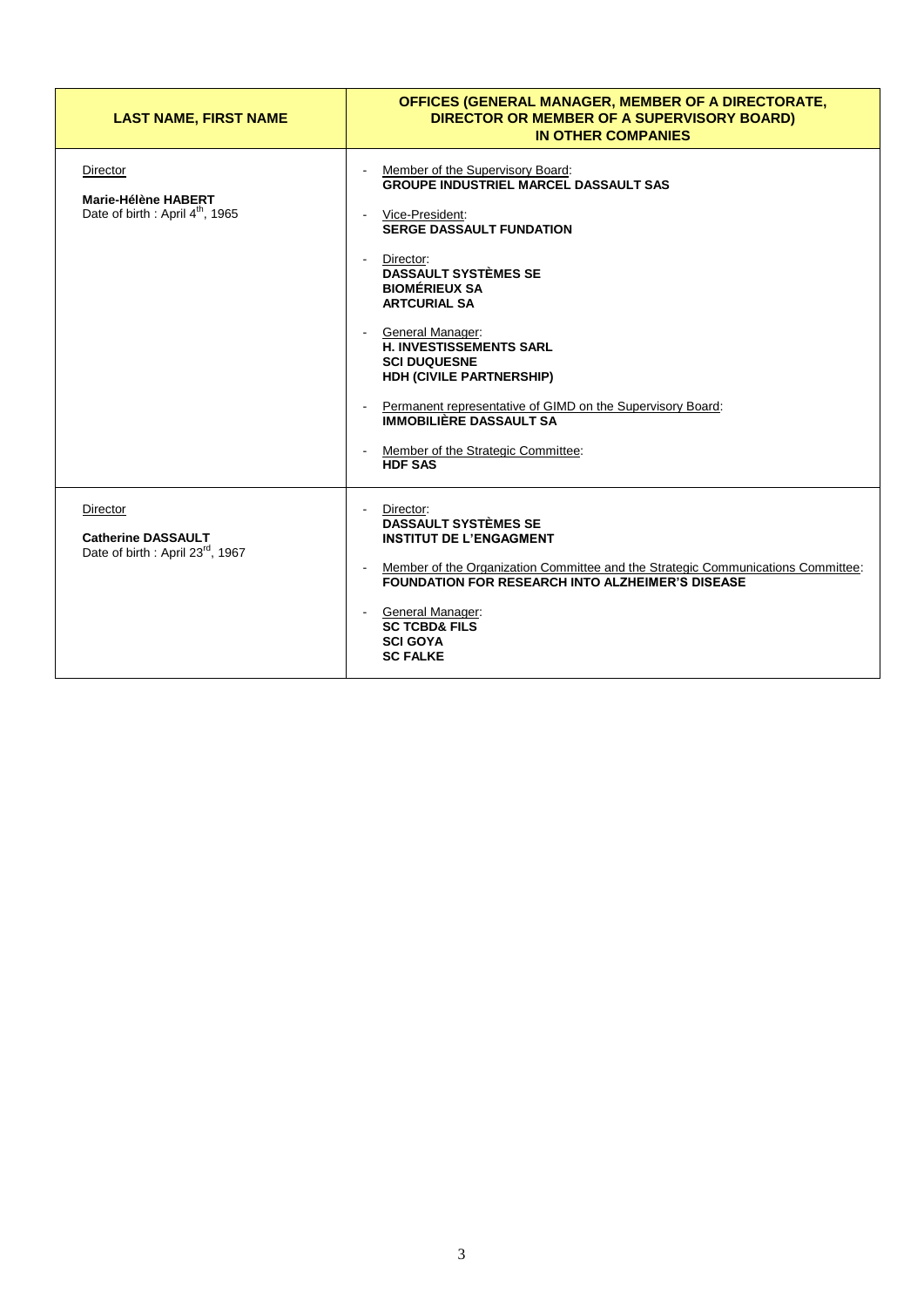| <b>LAST NAME, FIRST NAME</b>                                                          | OFFICES (GENERAL MANAGER, MEMBER OF A DIRECTORATE,<br>DIRECTOR OR MEMBER OF A SUPERVISORY BOARD)<br><b>IN OTHER COMPANIES</b>                                                                                                                                                                                                                                                                                                                                                                                            |
|---------------------------------------------------------------------------------------|--------------------------------------------------------------------------------------------------------------------------------------------------------------------------------------------------------------------------------------------------------------------------------------------------------------------------------------------------------------------------------------------------------------------------------------------------------------------------------------------------------------------------|
| Director<br>Marie-Hélène HABERT<br>Date of birth : April 4 <sup>th</sup> , 1965       | Member of the Supervisory Board:<br><b>GROUPE INDUSTRIEL MARCEL DASSAULT SAS</b><br>Vice-President:<br><b>SERGE DASSAULT FUNDATION</b><br>Director:<br>$\sim$<br><b>DASSAULT SYSTÈMES SE</b><br><b>BIOMÉRIEUX SA</b><br><b>ARTCURIAL SA</b><br>- General Manager:<br><b>H. INVESTISSEMENTS SARL</b><br><b>SCI DUQUESNE</b><br>HDH (CIVILE PARTNERSHIP)<br>Permanent representative of GIMD on the Supervisory Board:<br><b>IMMOBILIÈRE DASSAULT SA</b><br>Member of the Strategic Committee:<br>$\sim$<br><b>HDF SAS</b> |
| Director<br><b>Catherine DASSAULT</b><br>Date of birth: April 23 <sup>rd</sup> , 1967 | Director:<br><b>DASSAULT SYSTÈMES SE</b><br><b>INSTITUT DE L'ENGAGMENT</b><br>Member of the Organization Committee and the Strategic Communications Committee:<br><b>FOUNDATION FOR RESEARCH INTO ALZHEIMER'S DISEASE</b><br>General Manager:<br>$\sim$<br><b>SC TCBD&amp; FILS</b><br><b>SCI GOYA</b><br><b>SC FALKE</b>                                                                                                                                                                                                |